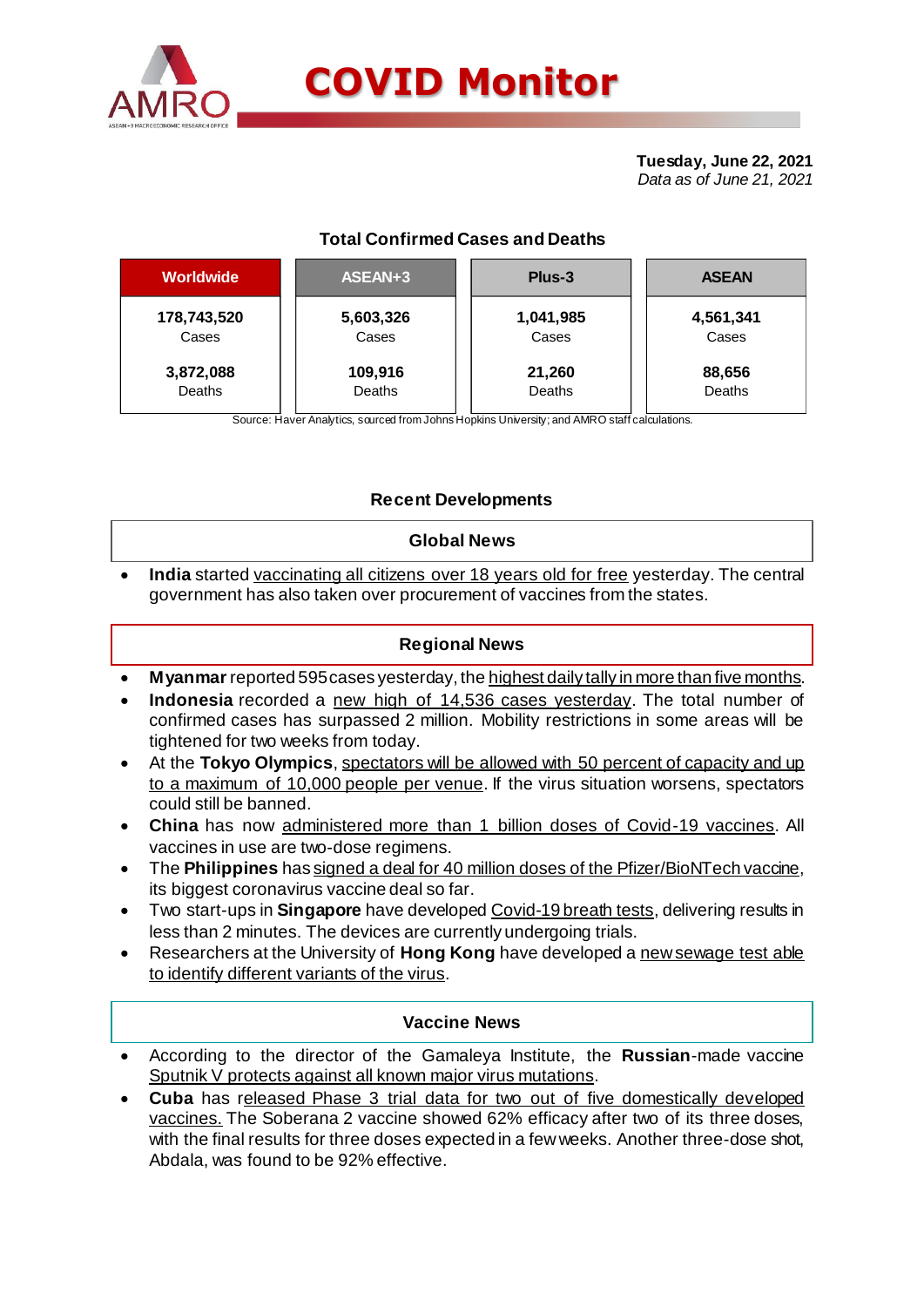

# **COVID Monitor**

**Tuesday, June 22, 2021** *Data as of June 21, 2021*

# **Total Confirmed Cases and Deaths**

| <b>Worldwide</b> | ASEAN+3   | Plus-3    | <b>ASEAN</b> |  |  |
|------------------|-----------|-----------|--------------|--|--|
| 178,743,520      | 5,603,326 | 1,041,985 | 4,561,341    |  |  |
| Cases            | Cases     | Cases     | Cases        |  |  |
| 3,872,088        | 109,916   | 21,260    | 88,656       |  |  |
| Deaths           | Deaths    | Deaths    | Deaths       |  |  |

Source: Haver Analytics, sourced from Johns Hopkins University; and AMRO staff calculations.

## **Recent Developments**

#### **Global News**

 **India** started vaccinating all citizens over 18 years old for free yesterday. The central government has also taken over procurement of vaccines from the states.

#### **Regional News**

- **Myanmar**reported 595 cases yesterday, the highest daily tally in more than five months.
- **Indonesia** recorded a new high of 14,536 cases yesterday. The total number of confirmed cases has surpassed 2 million. Mobility restrictions in some areas will be tightened for two weeks from today.
- At the **Tokyo Olympics**, spectators will be allowed with 50 percent of capacity and up to a maximum of 10,000 people per venue. If the virus situation worsens, spectators could still be banned.
- **China** has now administered more than 1 billion doses of Covid-19 vaccines. All vaccines in use are two-dose regimens.
- The **Philippines** has signed a deal for 40 million doses of the Pfizer/BioNTech vaccine, its biggest coronavirus vaccine deal so far.
- Two start-ups in **Singapore** have developed Covid-19 breath tests, delivering results in less than 2 minutes. The devices are currently undergoing trials.
- Researchers at the University of **Hong Kong** have developed a new sewage test able to identify different variants of the virus.

#### **Vaccine News**

- According to the director of the Gamaleya Institute, the **Russian**-made vaccine Sputnik V protects against all known major virus mutations.
- **Cuba** has released Phase 3 trial data for two out of five domestically developed vaccines. The Soberana 2 vaccine showed 62% efficacy after two of its three doses, with the final results for three doses expected in a few weeks. Another three-dose shot, Abdala, was found to be 92% effective.